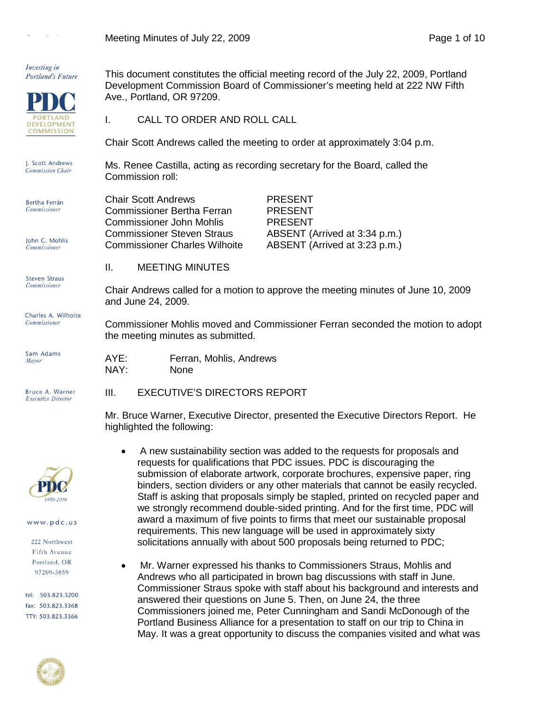Meeting Minutes of July 22, 2009 **Page 1 of 10** Page 1 of 10



requirements. This new language will be used in approximately sixty solicitations annually with about 500 proposals being returned to PDC;

• Mr. Warner expressed his thanks to Commissioners Straus, Mohlis and Andrews who all participated in brown bag discussions with staff in June. Commissioner Straus spoke with staff about his background and interests and

Commissioners joined me, Peter Cunningham and Sandi McDonough of the Portland Business Alliance for a presentation to staff on our trip to China in May. It was a great opportunity to discuss the companies visited and what was

answered their questions on June 5. Then, on June 24, the three

## www.pdc.us

 $\sim 10^{-1}$  .

222 Northwest Fifth Avenue Portland, OR 97209-3859

tel: 503.823.3200 fax: 503.823.3368 TTY: 503.823.3366

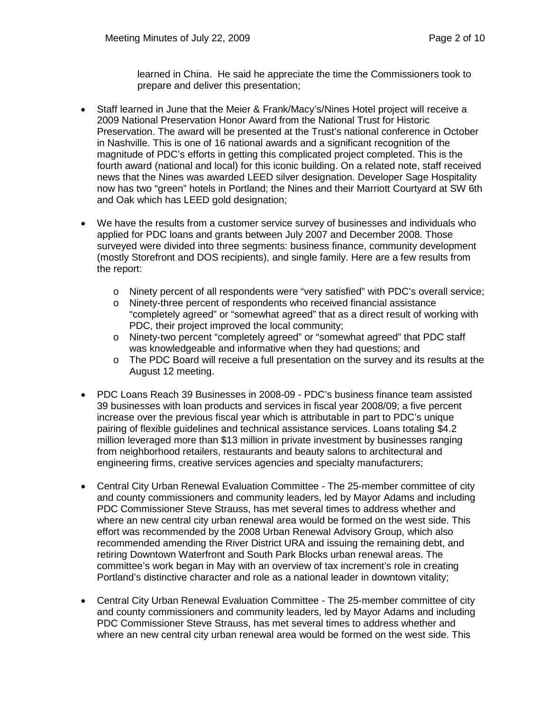learned in China. He said he appreciate the time the Commissioners took to prepare and deliver this presentation;

- Staff learned in June that the Meier & Frank/Macy's/Nines Hotel project will receive a 2009 National Preservation Honor Award from the National Trust for Historic Preservation. The award will be presented at the Trust's national conference in October in Nashville. This is one of 16 national awards and a significant recognition of the magnitude of PDC's efforts in getting this complicated project completed. This is the fourth award (national and local) for this iconic building. On a related note, staff received news that the Nines was awarded LEED silver designation. Developer Sage Hospitality now has two "green" hotels in Portland; the Nines and their Marriott Courtyard at SW 6th and Oak which has LEED gold designation;
- We have the results from a customer service survey of businesses and individuals who applied for PDC loans and grants between July 2007 and December 2008. Those surveyed were divided into three segments: business finance, community development (mostly Storefront and DOS recipients), and single family. Here are a few results from the report:
	- o Ninety percent of all respondents were "very satisfied" with PDC's overall service;<br>o Ninety-three percent of respondents who received financial assistance
	- Ninety-three percent of respondents who received financial assistance "completely agreed" or "somewhat agreed" that as a direct result of working with PDC, their project improved the local community;
	- o Ninety-two percent "completely agreed" or "somewhat agreed" that PDC staff was knowledgeable and informative when they had questions; and
	- o The PDC Board will receive a full presentation on the survey and its results at the August 12 meeting.
- PDC Loans Reach 39 Businesses in 2008-09 PDC's business finance team assisted 39 businesses with loan products and services in fiscal year 2008/09; a five percent increase over the previous fiscal year which is attributable in part to PDC's unique pairing of flexible guidelines and technical assistance services. Loans totaling \$4.2 million leveraged more than \$13 million in private investment by businesses ranging from neighborhood retailers, restaurants and beauty salons to architectural and engineering firms, creative services agencies and specialty manufacturers;
- Central City Urban Renewal Evaluation Committee The 25-member committee of city and county commissioners and community leaders, led by Mayor Adams and including PDC Commissioner Steve Strauss, has met several times to address whether and where an new central city urban renewal area would be formed on the west side. This effort was recommended by the 2008 Urban Renewal Advisory Group, which also recommended amending the River District URA and issuing the remaining debt, and retiring Downtown Waterfront and South Park Blocks urban renewal areas. The committee's work began in May with an overview of tax increment's role in creating Portland's distinctive character and role as a national leader in downtown vitality;
- Central City Urban Renewal Evaluation Committee The 25-member committee of city and county commissioners and community leaders, led by Mayor Adams and including PDC Commissioner Steve Strauss, has met several times to address whether and where an new central city urban renewal area would be formed on the west side. This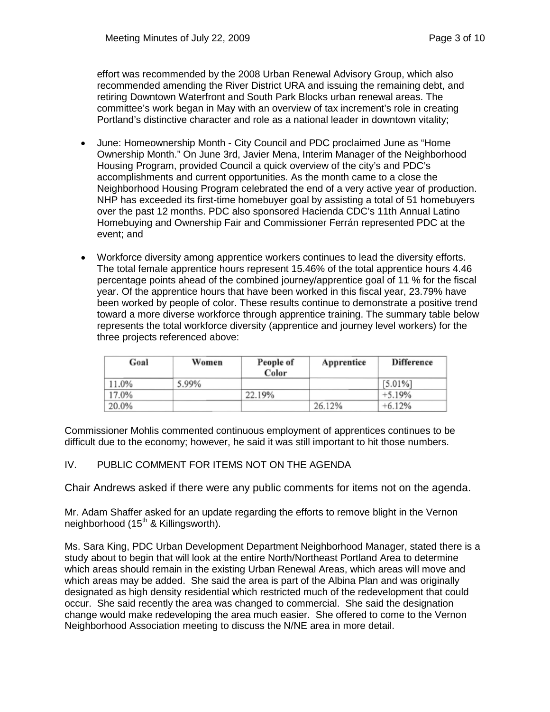effort was recommended by the 2008 Urban Renewal Advisory Group, which also recommended amending the River District URA and issuing the remaining debt, and retiring Downtown Waterfront and South Park Blocks urban renewal areas. The committee's work began in May with an overview of tax increment's role in creating Portland's distinctive character and role as a national leader in downtown vitality;

- June: Homeownership Month City Council and PDC proclaimed June as "Home Ownership Month." On June 3rd, Javier Mena, Interim Manager of the Neighborhood Housing Program, provided Council a quick overview of the city's and PDC's accomplishments and current opportunities. As the month came to a close the Neighborhood Housing Program celebrated the end of a very active year of production. NHP has exceeded its first-time homebuyer goal by assisting a total of 51 homebuyers over the past 12 months. PDC also sponsored Hacienda CDC's 11th Annual Latino Homebuying and Ownership Fair and Commissioner Ferrán represented PDC at the event; and
- Workforce diversity among apprentice workers continues to lead the diversity efforts. The total female apprentice hours represent 15.46% of the total apprentice hours 4.46 percentage points ahead of the combined journey/apprentice goal of 11 % for the fiscal year. Of the apprentice hours that have been worked in this fiscal year, 23.79% have been worked by people of color. These results continue to demonstrate a positive trend toward a more diverse workforce through apprentice training. The summary table below represents the total workforce diversity (apprentice and journey level workers) for the three projects referenced above:

| Goal  | Women | People of<br>Color | Apprentice | Difference |
|-------|-------|--------------------|------------|------------|
| 11.0% | 5.99% |                    |            | $[5.01\%]$ |
| 17.0% |       | 22.19%             |            | $+5.19%$   |
| 20.0% |       |                    | 26.12%     | $+6.12%$   |

Commissioner Mohlis commented continuous employment of apprentices continues to be difficult due to the economy; however, he said it was still important to hit those numbers.

## IV. PUBLIC COMMENT FOR ITEMS NOT ON THE AGENDA

Chair Andrews asked if there were any public comments for items not on the agenda.

Mr. Adam Shaffer asked for an update regarding the efforts to remove blight in the Vernon neighborhood (15<sup>th</sup> & Killingsworth).

Ms. Sara King, PDC Urban Development Department Neighborhood Manager, stated there is a study about to begin that will look at the entire North/Northeast Portland Area to determine which areas should remain in the existing Urban Renewal Areas, which areas will move and which areas may be added. She said the area is part of the Albina Plan and was originally designated as high density residential which restricted much of the redevelopment that could occur. She said recently the area was changed to commercial. She said the designation change would make redeveloping the area much easier. She offered to come to the Vernon Neighborhood Association meeting to discuss the N/NE area in more detail.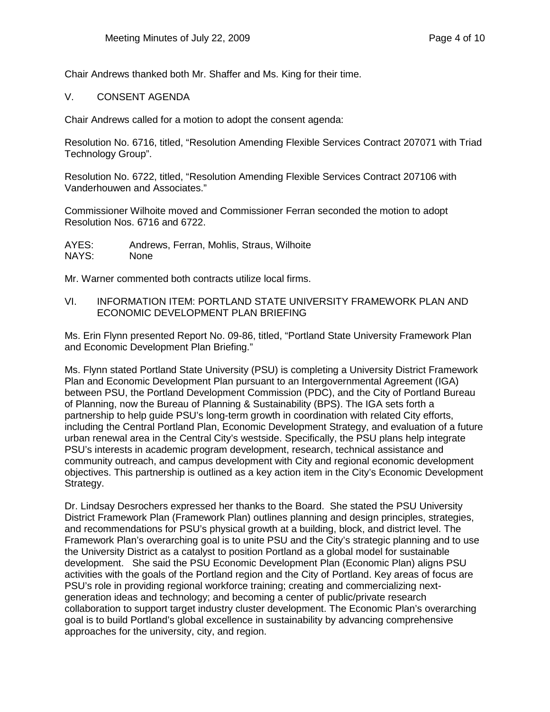Chair Andrews thanked both Mr. Shaffer and Ms. King for their time.

## V. CONSENT AGENDA

Chair Andrews called for a motion to adopt the consent agenda:

Resolution No. 6716, titled, "Resolution Amending Flexible Services Contract 207071 with Triad Technology Group".

Resolution No. 6722, titled, "Resolution Amending Flexible Services Contract 207106 with Vanderhouwen and Associates."

Commissioner Wilhoite moved and Commissioner Ferran seconded the motion to adopt Resolution Nos. 6716 and 6722.

AYES: Andrews, Ferran, Mohlis, Straus, Wilhoite NAYS: None

Mr. Warner commented both contracts utilize local firms.

VI. INFORMATION ITEM: PORTLAND STATE UNIVERSITY FRAMEWORK PLAN AND ECONOMIC DEVELOPMENT PLAN BRIEFING

Ms. Erin Flynn presented Report No. 09-86, titled, "Portland State University Framework Plan and Economic Development Plan Briefing."

Ms. Flynn stated Portland State University (PSU) is completing a University District Framework Plan and Economic Development Plan pursuant to an Intergovernmental Agreement (IGA) between PSU, the Portland Development Commission (PDC), and the City of Portland Bureau of Planning, now the Bureau of Planning & Sustainability (BPS). The IGA sets forth a partnership to help guide PSU's long-term growth in coordination with related City efforts, including the Central Portland Plan, Economic Development Strategy, and evaluation of a future urban renewal area in the Central City's westside. Specifically, the PSU plans help integrate PSU's interests in academic program development, research, technical assistance and community outreach, and campus development with City and regional economic development objectives. This partnership is outlined as a key action item in the City's Economic Development Strategy.

Dr. Lindsay Desrochers expressed her thanks to the Board. She stated the PSU University District Framework Plan (Framework Plan) outlines planning and design principles, strategies, and recommendations for PSU's physical growth at a building, block, and district level. The Framework Plan's overarching goal is to unite PSU and the City's strategic planning and to use the University District as a catalyst to position Portland as a global model for sustainable development. She said the PSU Economic Development Plan (Economic Plan) aligns PSU activities with the goals of the Portland region and the City of Portland. Key areas of focus are PSU's role in providing regional workforce training; creating and commercializing nextgeneration ideas and technology; and becoming a center of public/private research collaboration to support target industry cluster development. The Economic Plan's overarching goal is to build Portland's global excellence in sustainability by advancing comprehensive approaches for the university, city, and region.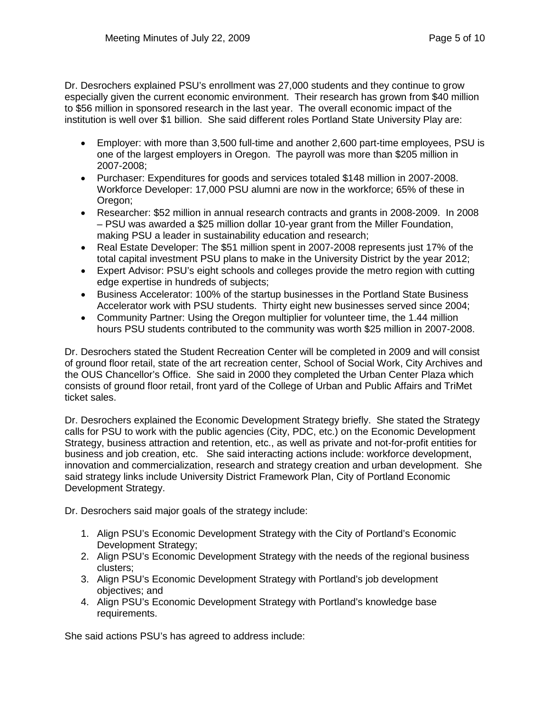Dr. Desrochers explained PSU's enrollment was 27,000 students and they continue to grow especially given the current economic environment. Their research has grown from \$40 million to \$56 million in sponsored research in the last year. The overall economic impact of the institution is well over \$1 billion. She said different roles Portland State University Play are:

- Employer: with more than 3,500 full-time and another 2,600 part-time employees, PSU is one of the largest employers in Oregon. The payroll was more than \$205 million in 2007-2008;
- Purchaser: Expenditures for goods and services totaled \$148 million in 2007-2008. Workforce Developer: 17,000 PSU alumni are now in the workforce; 65% of these in Oregon;
- Researcher: \$52 million in annual research contracts and grants in 2008-2009. In 2008 – PSU was awarded a \$25 million dollar 10-year grant from the Miller Foundation, making PSU a leader in sustainability education and research;
- Real Estate Developer: The \$51 million spent in 2007-2008 represents just 17% of the total capital investment PSU plans to make in the University District by the year 2012;
- Expert Advisor: PSU's eight schools and colleges provide the metro region with cutting edge expertise in hundreds of subjects;
- Business Accelerator: 100% of the startup businesses in the Portland State Business Accelerator work with PSU students. Thirty eight new businesses served since 2004;
- Community Partner: Using the Oregon multiplier for volunteer time, the 1.44 million hours PSU students contributed to the community was worth \$25 million in 2007-2008.

Dr. Desrochers stated the Student Recreation Center will be completed in 2009 and will consist of ground floor retail, state of the art recreation center, School of Social Work, City Archives and the OUS Chancellor's Office. She said in 2000 they completed the Urban Center Plaza which consists of ground floor retail, front yard of the College of Urban and Public Affairs and TriMet ticket sales.

Dr. Desrochers explained the Economic Development Strategy briefly. She stated the Strategy calls for PSU to work with the public agencies (City, PDC, etc.) on the Economic Development Strategy, business attraction and retention, etc., as well as private and not-for-profit entities for business and job creation, etc. She said interacting actions include: workforce development, innovation and commercialization, research and strategy creation and urban development. She said strategy links include University District Framework Plan, City of Portland Economic Development Strategy.

Dr. Desrochers said major goals of the strategy include:

- 1. Align PSU's Economic Development Strategy with the City of Portland's Economic Development Strategy;
- 2. Align PSU's Economic Development Strategy with the needs of the regional business clusters;
- 3. Align PSU's Economic Development Strategy with Portland's job development objectives; and
- 4. Align PSU's Economic Development Strategy with Portland's knowledge base requirements.

She said actions PSU's has agreed to address include: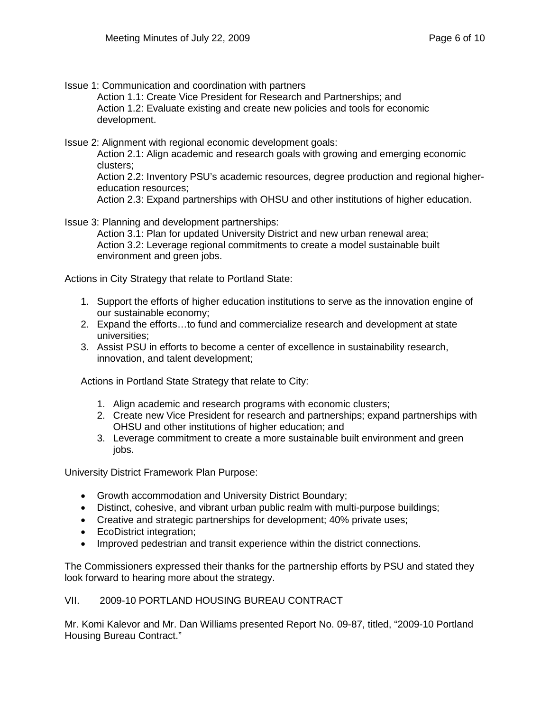Issue 1: Communication and coordination with partners

Action 1.1: Create Vice President for Research and Partnerships; and Action 1.2: Evaluate existing and create new policies and tools for economic development.

Issue 2: Alignment with regional economic development goals:

Action 2.1: Align academic and research goals with growing and emerging economic clusters;

Action 2.2: Inventory PSU's academic resources, degree production and regional highereducation resources;

Action 2.3: Expand partnerships with OHSU and other institutions of higher education.

Issue 3: Planning and development partnerships:

Action 3.1: Plan for updated University District and new urban renewal area; Action 3.2: Leverage regional commitments to create a model sustainable built environment and green jobs.

Actions in City Strategy that relate to Portland State:

- 1. Support the efforts of higher education institutions to serve as the innovation engine of our sustainable economy;
- 2. Expand the efforts…to fund and commercialize research and development at state universities;
- 3. Assist PSU in efforts to become a center of excellence in sustainability research, innovation, and talent development;

Actions in Portland State Strategy that relate to City:

- 1. Align academic and research programs with economic clusters;
- 2. Create new Vice President for research and partnerships; expand partnerships with OHSU and other institutions of higher education; and
- 3. Leverage commitment to create a more sustainable built environment and green jobs.

University District Framework Plan Purpose:

- Growth accommodation and University District Boundary;
- Distinct, cohesive, and vibrant urban public realm with multi-purpose buildings;
- Creative and strategic partnerships for development; 40% private uses;
- EcoDistrict integration;
- Improved pedestrian and transit experience within the district connections.

The Commissioners expressed their thanks for the partnership efforts by PSU and stated they look forward to hearing more about the strategy.

VII. 2009-10 PORTLAND HOUSING BUREAU CONTRACT

Mr. Komi Kalevor and Mr. Dan Williams presented Report No. 09-87, titled, "2009-10 Portland Housing Bureau Contract."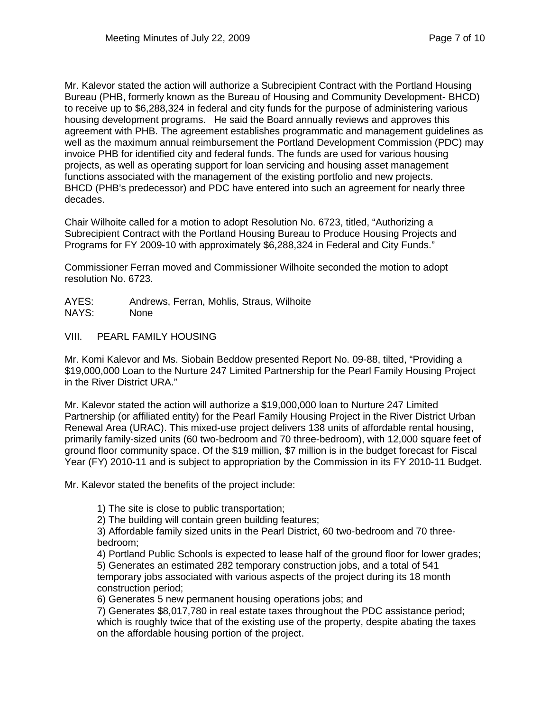Mr. Kalevor stated the action will authorize a Subrecipient Contract with the Portland Housing Bureau (PHB, formerly known as the Bureau of Housing and Community Development- BHCD) to receive up to \$6,288,324 in federal and city funds for the purpose of administering various housing development programs. He said the Board annually reviews and approves this agreement with PHB. The agreement establishes programmatic and management guidelines as well as the maximum annual reimbursement the Portland Development Commission (PDC) may invoice PHB for identified city and federal funds. The funds are used for various housing projects, as well as operating support for loan servicing and housing asset management functions associated with the management of the existing portfolio and new projects. BHCD (PHB's predecessor) and PDC have entered into such an agreement for nearly three decades.

Chair Wilhoite called for a motion to adopt Resolution No. 6723, titled, "Authorizing a Subrecipient Contract with the Portland Housing Bureau to Produce Housing Projects and Programs for FY 2009-10 with approximately \$6,288,324 in Federal and City Funds."

Commissioner Ferran moved and Commissioner Wilhoite seconded the motion to adopt resolution No. 6723.

- AYES: Andrews, Ferran, Mohlis, Straus, Wilhoite NAYS: None
- VIII. PEARL FAMILY HOUSING

Mr. Komi Kalevor and Ms. Siobain Beddow presented Report No. 09-88, tilted, "Providing a \$19,000,000 Loan to the Nurture 247 Limited Partnership for the Pearl Family Housing Project in the River District URA."

Mr. Kalevor stated the action will authorize a \$19,000,000 loan to Nurture 247 Limited Partnership (or affiliated entity) for the Pearl Family Housing Project in the River District Urban Renewal Area (URAC). This mixed-use project delivers 138 units of affordable rental housing, primarily family-sized units (60 two-bedroom and 70 three-bedroom), with 12,000 square feet of ground floor community space. Of the \$19 million, \$7 million is in the budget forecast for Fiscal Year (FY) 2010-11 and is subject to appropriation by the Commission in its FY 2010-11 Budget.

Mr. Kalevor stated the benefits of the project include:

1) The site is close to public transportation;

2) The building will contain green building features;

3) Affordable family sized units in the Pearl District, 60 two-bedroom and 70 threebedroom;

4) Portland Public Schools is expected to lease half of the ground floor for lower grades; 5) Generates an estimated 282 temporary construction jobs, and a total of 541 temporary jobs associated with various aspects of the project during its 18 month construction period;

6) Generates 5 new permanent housing operations jobs; and

7) Generates \$8,017,780 in real estate taxes throughout the PDC assistance period; which is roughly twice that of the existing use of the property, despite abating the taxes on the affordable housing portion of the project.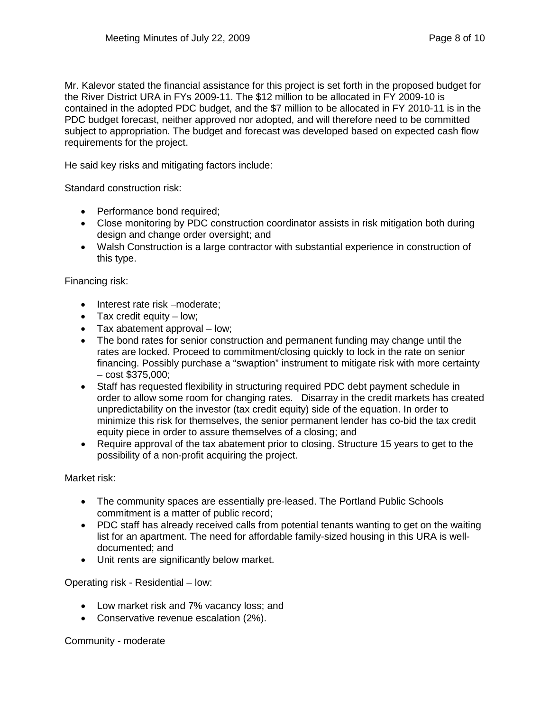Mr. Kalevor stated the financial assistance for this project is set forth in the proposed budget for the River District URA in FYs 2009-11. The \$12 million to be allocated in FY 2009-10 is contained in the adopted PDC budget, and the \$7 million to be allocated in FY 2010-11 is in the PDC budget forecast, neither approved nor adopted, and will therefore need to be committed subject to appropriation. The budget and forecast was developed based on expected cash flow requirements for the project.

He said key risks and mitigating factors include:

Standard construction risk:

- Performance bond required;
- Close monitoring by PDC construction coordinator assists in risk mitigation both during design and change order oversight; and
- Walsh Construction is a large contractor with substantial experience in construction of this type.

Financing risk:

- Interest rate risk –moderate;
- $\bullet$  Tax credit equity low;
- Tax abatement approval low;
- The bond rates for senior construction and permanent funding may change until the rates are locked. Proceed to commitment/closing quickly to lock in the rate on senior financing. Possibly purchase a "swaption" instrument to mitigate risk with more certainty – cost \$375,000;
- Staff has requested flexibility in structuring required PDC debt payment schedule in order to allow some room for changing rates. Disarray in the credit markets has created unpredictability on the investor (tax credit equity) side of the equation. In order to minimize this risk for themselves, the senior permanent lender has co-bid the tax credit equity piece in order to assure themselves of a closing; and
- Require approval of the tax abatement prior to closing. Structure 15 years to get to the possibility of a non-profit acquiring the project.

Market risk:

- The community spaces are essentially pre-leased. The Portland Public Schools commitment is a matter of public record;
- PDC staff has already received calls from potential tenants wanting to get on the waiting list for an apartment. The need for affordable family-sized housing in this URA is welldocumented; and
- Unit rents are significantly below market.

Operating risk - Residential – low:

- Low market risk and 7% vacancy loss; and
- Conservative revenue escalation (2%).

Community - moderate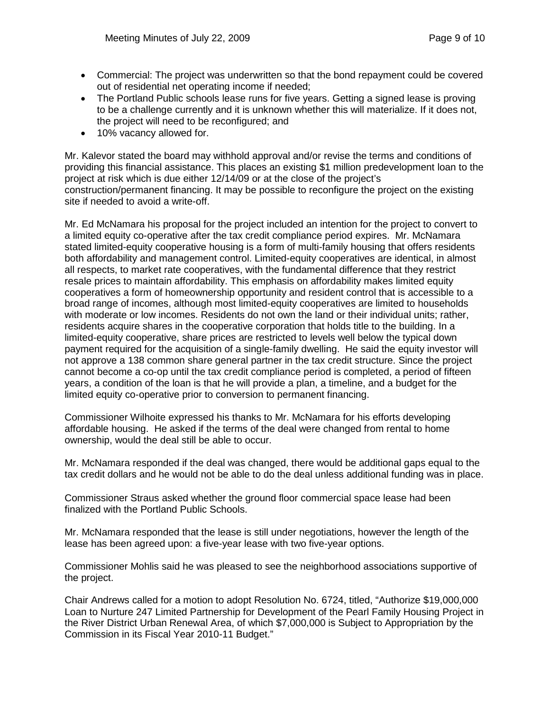- Commercial: The project was underwritten so that the bond repayment could be covered out of residential net operating income if needed;
- The Portland Public schools lease runs for five years. Getting a signed lease is proving to be a challenge currently and it is unknown whether this will materialize. If it does not, the project will need to be reconfigured; and
- 10% vacancy allowed for.

Mr. Kalevor stated the board may withhold approval and/or revise the terms and conditions of providing this financial assistance. This places an existing \$1 million predevelopment loan to the project at risk which is due either 12/14/09 or at the close of the project's construction/permanent financing. It may be possible to reconfigure the project on the existing site if needed to avoid a write-off.

Mr. Ed McNamara his proposal for the project included an intention for the project to convert to a limited equity co-operative after the tax credit compliance period expires. Mr. McNamara stated limited-equity cooperative housing is a form of multi-family housing that offers residents both affordability and management control. Limited-equity cooperatives are identical, in almost all respects, to market rate cooperatives, with the fundamental difference that they restrict resale prices to maintain affordability. This emphasis on affordability makes limited equity cooperatives a form of homeownership opportunity and resident control that is accessible to a broad range of incomes, although most limited-equity cooperatives are limited to households with moderate or low incomes. Residents do not own the land or their individual units; rather, residents acquire shares in the cooperative corporation that holds title to the building. In a limited-equity cooperative, share prices are restricted to levels well below the typical down payment required for the acquisition of a single-family dwelling. He said the equity investor will not approve a 138 common share general partner in the tax credit structure. Since the project cannot become a co-op until the tax credit compliance period is completed, a period of fifteen years, a condition of the loan is that he will provide a plan, a timeline, and a budget for the limited equity co-operative prior to conversion to permanent financing.

Commissioner Wilhoite expressed his thanks to Mr. McNamara for his efforts developing affordable housing. He asked if the terms of the deal were changed from rental to home ownership, would the deal still be able to occur.

Mr. McNamara responded if the deal was changed, there would be additional gaps equal to the tax credit dollars and he would not be able to do the deal unless additional funding was in place.

Commissioner Straus asked whether the ground floor commercial space lease had been finalized with the Portland Public Schools.

Mr. McNamara responded that the lease is still under negotiations, however the length of the lease has been agreed upon: a five-year lease with two five-year options.

Commissioner Mohlis said he was pleased to see the neighborhood associations supportive of the project.

Chair Andrews called for a motion to adopt Resolution No. 6724, titled, "Authorize \$19,000,000 Loan to Nurture 247 Limited Partnership for Development of the Pearl Family Housing Project in the River District Urban Renewal Area, of which \$7,000,000 is Subject to Appropriation by the Commission in its Fiscal Year 2010-11 Budget."